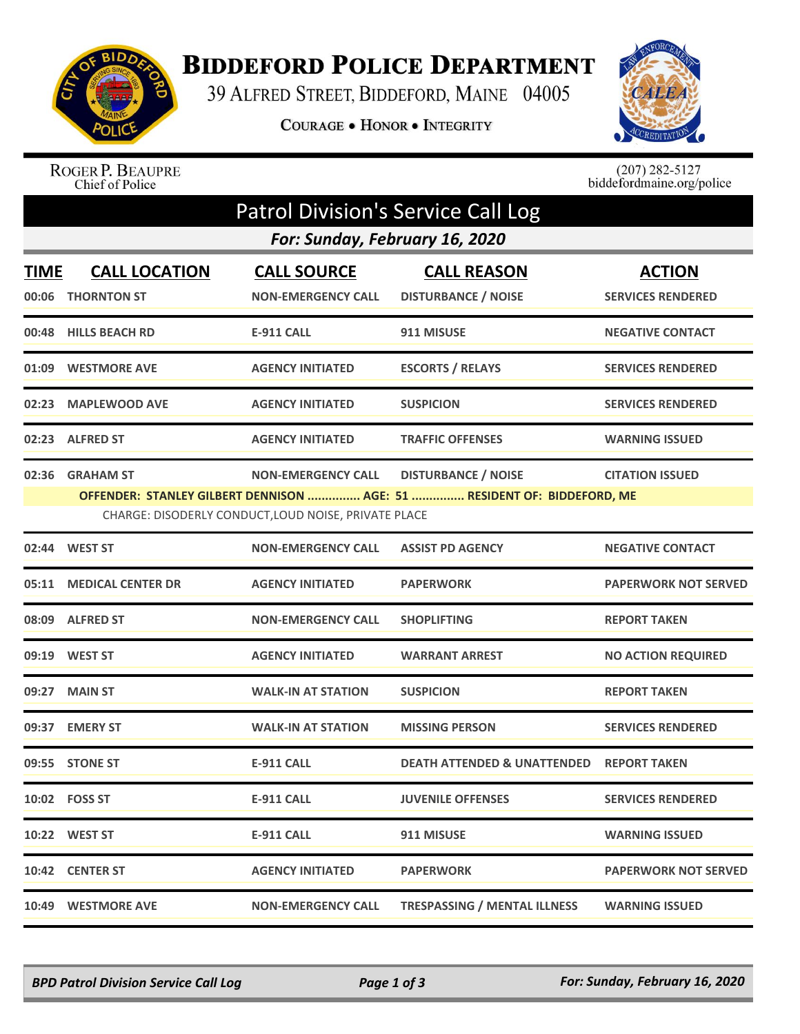

## **BIDDEFORD POLICE DEPARTMENT**

39 ALFRED STREET, BIDDEFORD, MAINE 04005

COURAGE . HONOR . INTEGRITY



ROGER P. BEAUPRE<br>Chief of Police

 $(207)$  282-5127<br>biddefordmaine.org/police

| <b>Patrol Division's Service Call Log</b> |                                            |                                                                                   |                                                                                                       |                                           |  |  |  |  |  |
|-------------------------------------------|--------------------------------------------|-----------------------------------------------------------------------------------|-------------------------------------------------------------------------------------------------------|-------------------------------------------|--|--|--|--|--|
|                                           | For: Sunday, February 16, 2020             |                                                                                   |                                                                                                       |                                           |  |  |  |  |  |
| <b>TIME</b><br>00:06                      | <b>CALL LOCATION</b><br><b>THORNTON ST</b> | <b>CALL SOURCE</b><br><b>NON-EMERGENCY CALL</b>                                   | <b>CALL REASON</b><br><b>DISTURBANCE / NOISE</b>                                                      | <b>ACTION</b><br><b>SERVICES RENDERED</b> |  |  |  |  |  |
|                                           | 00:48 HILLS BEACH RD                       | E-911 CALL                                                                        | 911 MISUSE                                                                                            | <b>NEGATIVE CONTACT</b>                   |  |  |  |  |  |
|                                           | 01:09 WESTMORE AVE                         | <b>AGENCY INITIATED</b>                                                           | <b>ESCORTS / RELAYS</b>                                                                               | <b>SERVICES RENDERED</b>                  |  |  |  |  |  |
| 02:23                                     | <b>MAPLEWOOD AVE</b>                       | <b>AGENCY INITIATED</b>                                                           | <b>SUSPICION</b>                                                                                      | <b>SERVICES RENDERED</b>                  |  |  |  |  |  |
|                                           | 02:23 ALFRED ST                            | <b>AGENCY INITIATED</b>                                                           | <b>TRAFFIC OFFENSES</b>                                                                               | <b>WARNING ISSUED</b>                     |  |  |  |  |  |
|                                           | 02:36 GRAHAM ST                            | <b>NON-EMERGENCY CALL</b><br>CHARGE: DISODERLY CONDUCT, LOUD NOISE, PRIVATE PLACE | <b>DISTURBANCE / NOISE</b><br>OFFENDER: STANLEY GILBERT DENNISON  AGE: 51  RESIDENT OF: BIDDEFORD, ME | <b>CITATION ISSUED</b>                    |  |  |  |  |  |
| 02:44                                     | <b>WEST ST</b>                             | <b>NON-EMERGENCY CALL</b>                                                         | <b>ASSIST PD AGENCY</b>                                                                               | <b>NEGATIVE CONTACT</b>                   |  |  |  |  |  |
| 05:11                                     | <b>MEDICAL CENTER DR</b>                   | <b>AGENCY INITIATED</b>                                                           | <b>PAPERWORK</b>                                                                                      | <b>PAPERWORK NOT SERVED</b>               |  |  |  |  |  |
|                                           | 08:09 ALFRED ST                            | <b>NON-EMERGENCY CALL</b>                                                         | <b>SHOPLIFTING</b>                                                                                    | <b>REPORT TAKEN</b>                       |  |  |  |  |  |
|                                           | 09:19 WEST ST                              | <b>AGENCY INITIATED</b>                                                           | <b>WARRANT ARREST</b>                                                                                 | <b>NO ACTION REQUIRED</b>                 |  |  |  |  |  |
|                                           | 09:27 MAIN ST                              | <b>WALK-IN AT STATION</b>                                                         | <b>SUSPICION</b>                                                                                      | <b>REPORT TAKEN</b>                       |  |  |  |  |  |
|                                           | 09:37 EMERY ST                             | <b>WALK-IN AT STATION</b>                                                         | <b>MISSING PERSON</b>                                                                                 | <b>SERVICES RENDERED</b>                  |  |  |  |  |  |
|                                           | 09:55 STONE ST                             | <b>E-911 CALL</b>                                                                 | <b>DEATH ATTENDED &amp; UNATTENDED</b>                                                                | <b>REPORT TAKEN</b>                       |  |  |  |  |  |
|                                           | 10:02    FOSS ST                           | <b>E-911 CALL</b>                                                                 | <b>JUVENILE OFFENSES</b>                                                                              | <b>SERVICES RENDERED</b>                  |  |  |  |  |  |
|                                           | 10:22 WEST ST                              | <b>E-911 CALL</b>                                                                 | 911 MISUSE                                                                                            | <b>WARNING ISSUED</b>                     |  |  |  |  |  |
|                                           | 10:42 CENTER ST                            | <b>AGENCY INITIATED</b>                                                           | <b>PAPERWORK</b>                                                                                      | <b>PAPERWORK NOT SERVED</b>               |  |  |  |  |  |
|                                           | 10:49 WESTMORE AVE                         | <b>NON-EMERGENCY CALL</b>                                                         | <b>TRESPASSING / MENTAL ILLNESS</b>                                                                   | <b>WARNING ISSUED</b>                     |  |  |  |  |  |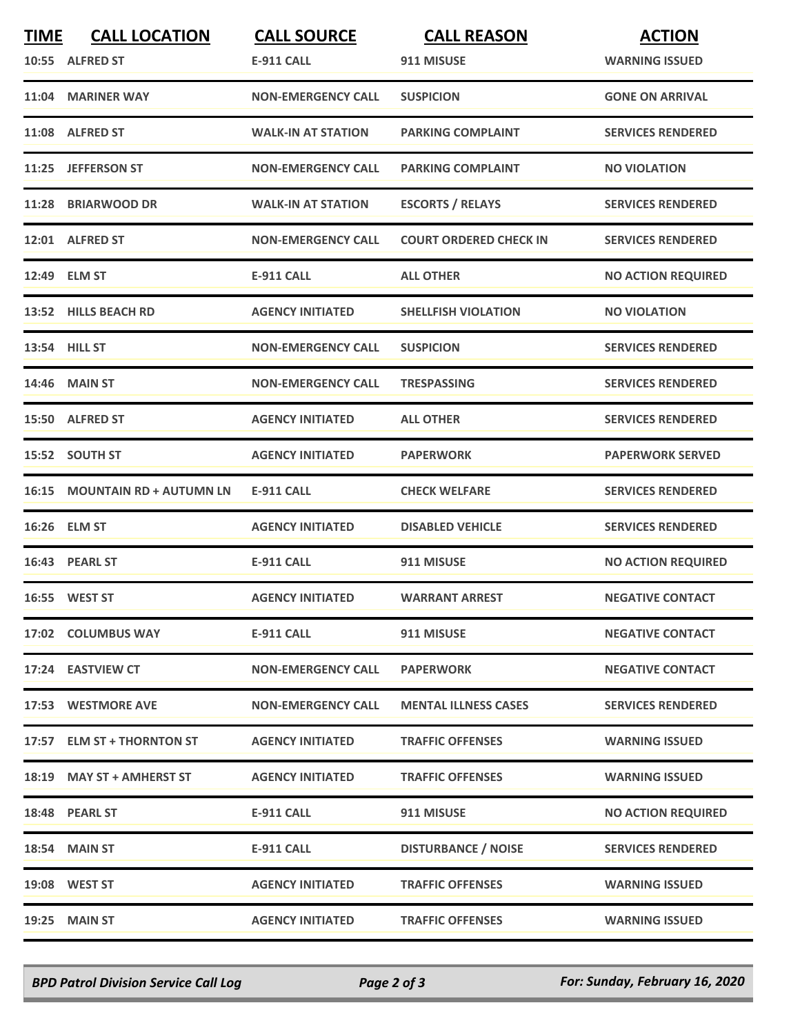| <b>TIME</b> | <b>CALL LOCATION</b>          | <b>CALL SOURCE</b>        | <b>CALL REASON</b>            | <b>ACTION</b>             |
|-------------|-------------------------------|---------------------------|-------------------------------|---------------------------|
|             | 10:55 ALFRED ST               | <b>E-911 CALL</b>         | 911 MISUSE                    | <b>WARNING ISSUED</b>     |
|             | 11:04 MARINER WAY             | <b>NON-EMERGENCY CALL</b> | <b>SUSPICION</b>              | <b>GONE ON ARRIVAL</b>    |
|             | 11:08 ALFRED ST               | <b>WALK-IN AT STATION</b> | <b>PARKING COMPLAINT</b>      | <b>SERVICES RENDERED</b>  |
|             | 11:25 JEFFERSON ST            | <b>NON-EMERGENCY CALL</b> | <b>PARKING COMPLAINT</b>      | <b>NO VIOLATION</b>       |
|             | 11:28 BRIARWOOD DR            | <b>WALK-IN AT STATION</b> | <b>ESCORTS / RELAYS</b>       | <b>SERVICES RENDERED</b>  |
|             | 12:01 ALFRED ST               | <b>NON-EMERGENCY CALL</b> | <b>COURT ORDERED CHECK IN</b> | <b>SERVICES RENDERED</b>  |
|             | 12:49 ELM ST                  | <b>E-911 CALL</b>         | <b>ALL OTHER</b>              | <b>NO ACTION REQUIRED</b> |
|             | 13:52 HILLS BEACH RD          | <b>AGENCY INITIATED</b>   | <b>SHELLFISH VIOLATION</b>    | <b>NO VIOLATION</b>       |
|             | 13:54 HILL ST                 | <b>NON-EMERGENCY CALL</b> | <b>SUSPICION</b>              | <b>SERVICES RENDERED</b>  |
|             | 14:46 MAIN ST                 | <b>NON-EMERGENCY CALL</b> | <b>TRESPASSING</b>            | <b>SERVICES RENDERED</b>  |
|             | 15:50 ALFRED ST               | <b>AGENCY INITIATED</b>   | <b>ALL OTHER</b>              | <b>SERVICES RENDERED</b>  |
|             | 15:52 SOUTH ST                | <b>AGENCY INITIATED</b>   | <b>PAPERWORK</b>              | <b>PAPERWORK SERVED</b>   |
|             | 16:15 MOUNTAIN RD + AUTUMN LN | <b>E-911 CALL</b>         | <b>CHECK WELFARE</b>          | <b>SERVICES RENDERED</b>  |
|             | 16:26 ELM ST                  | <b>AGENCY INITIATED</b>   | <b>DISABLED VEHICLE</b>       | <b>SERVICES RENDERED</b>  |
|             | 16:43 PEARL ST                | <b>E-911 CALL</b>         | 911 MISUSE                    | <b>NO ACTION REQUIRED</b> |
|             | 16:55 WEST ST                 | <b>AGENCY INITIATED</b>   | <b>WARRANT ARREST</b>         | <b>NEGATIVE CONTACT</b>   |
|             | 17:02 COLUMBUS WAY            | E-911 CALL                | 911 MISUSE                    | <b>NEGATIVE CONTACT</b>   |
|             | 17:24 EASTVIEW CT             | <b>NON-EMERGENCY CALL</b> | <b>PAPERWORK</b>              | <b>NEGATIVE CONTACT</b>   |
|             | 17:53 WESTMORE AVE            | <b>NON-EMERGENCY CALL</b> | <b>MENTAL ILLNESS CASES</b>   | <b>SERVICES RENDERED</b>  |
|             | 17:57 ELM ST + THORNTON ST    | <b>AGENCY INITIATED</b>   | <b>TRAFFIC OFFENSES</b>       | <b>WARNING ISSUED</b>     |
|             | 18:19 MAY ST + AMHERST ST     | <b>AGENCY INITIATED</b>   | <b>TRAFFIC OFFENSES</b>       | <b>WARNING ISSUED</b>     |
|             | 18:48 PEARL ST                | E-911 CALL                | 911 MISUSE                    | <b>NO ACTION REQUIRED</b> |
|             | 18:54 MAIN ST                 | E-911 CALL                | <b>DISTURBANCE / NOISE</b>    | <b>SERVICES RENDERED</b>  |
|             | 19:08 WEST ST                 | <b>AGENCY INITIATED</b>   | <b>TRAFFIC OFFENSES</b>       | <b>WARNING ISSUED</b>     |
|             | <b>19:25 MAIN ST</b>          | <b>AGENCY INITIATED</b>   | <b>TRAFFIC OFFENSES</b>       | <b>WARNING ISSUED</b>     |

*BPD Patrol Division Service Call Log Page 2 of 3 For: Sunday, February 16, 2020*